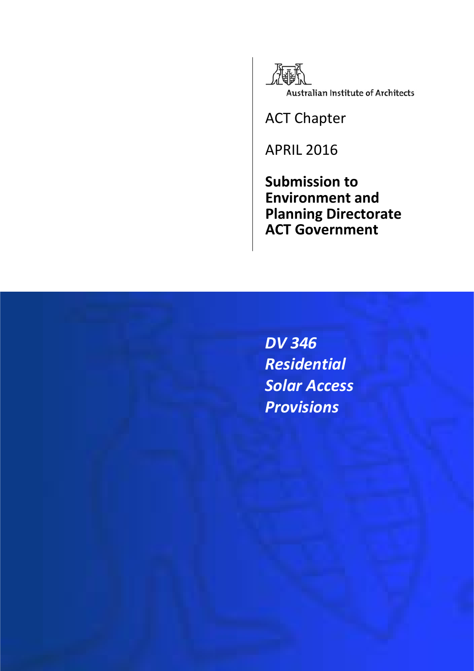

ACT Chapter

APRIL 2016

**Submission to Environment and Planning Directorate ACT Government**

*DV 346 Residential Solar Access Provisions*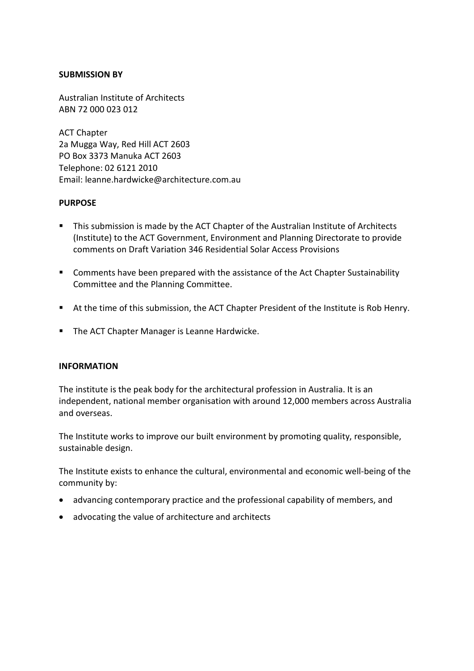#### **SUBMISSION BY**

Australian Institute of Architects ABN 72 000 023 012

ACT Chapter 2a Mugga Way, Red Hill ACT 2603 PO Box 3373 Manuka ACT 2603 Telephone: 02 6121 2010 Email: leanne.hardwicke@architecture.com.au

#### **PURPOSE**

- **This submission is made by the ACT Chapter of the Australian Institute of Architects** (Institute) to the ACT Government, Environment and Planning Directorate to provide comments on Draft Variation 346 Residential Solar Access Provisions
- Comments have been prepared with the assistance of the Act Chapter Sustainability Committee and the Planning Committee.
- At the time of this submission, the ACT Chapter President of the Institute is Rob Henry.
- **The ACT Chapter Manager is Leanne Hardwicke.**

#### **INFORMATION**

The institute is the peak body for the architectural profession in Australia. It is an independent, national member organisation with around 12,000 members across Australia and overseas.

The Institute works to improve our built environment by promoting quality, responsible, sustainable design.

The Institute exists to enhance the cultural, environmental and economic well-being of the community by:

- advancing contemporary practice and the professional capability of members, and
- advocating the value of architecture and architects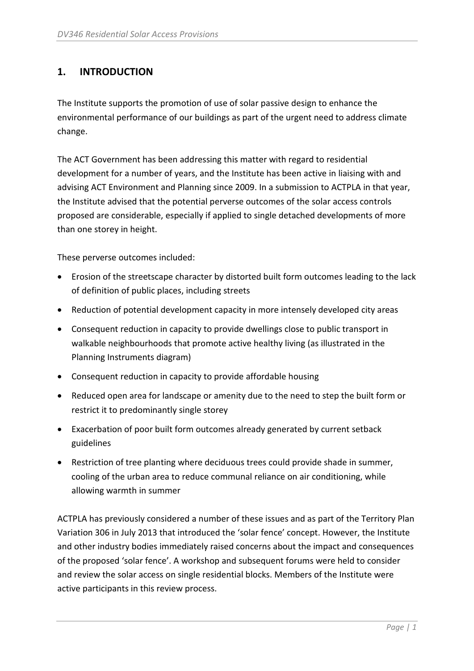## **1. INTRODUCTION**

The Institute supports the promotion of use of solar passive design to enhance the environmental performance of our buildings as part of the urgent need to address climate change.

The ACT Government has been addressing this matter with regard to residential development for a number of years, and the Institute has been active in liaising with and advising ACT Environment and Planning since 2009. In a submission to ACTPLA in that year, the Institute advised that the potential perverse outcomes of the solar access controls proposed are considerable, especially if applied to single detached developments of more than one storey in height.

These perverse outcomes included:

- Erosion of the streetscape character by distorted built form outcomes leading to the lack of definition of public places, including streets
- Reduction of potential development capacity in more intensely developed city areas
- Consequent reduction in capacity to provide dwellings close to public transport in walkable neighbourhoods that promote active healthy living (as illustrated in the Planning Instruments diagram)
- Consequent reduction in capacity to provide affordable housing
- Reduced open area for landscape or amenity due to the need to step the built form or restrict it to predominantly single storey
- Exacerbation of poor built form outcomes already generated by current setback guidelines
- Restriction of tree planting where deciduous trees could provide shade in summer, cooling of the urban area to reduce communal reliance on air conditioning, while allowing warmth in summer

ACTPLA has previously considered a number of these issues and as part of the Territory Plan Variation 306 in July 2013 that introduced the 'solar fence' concept. However, the Institute and other industry bodies immediately raised concerns about the impact and consequences of the proposed 'solar fence'. A workshop and subsequent forums were held to consider and review the solar access on single residential blocks. Members of the Institute were active participants in this review process.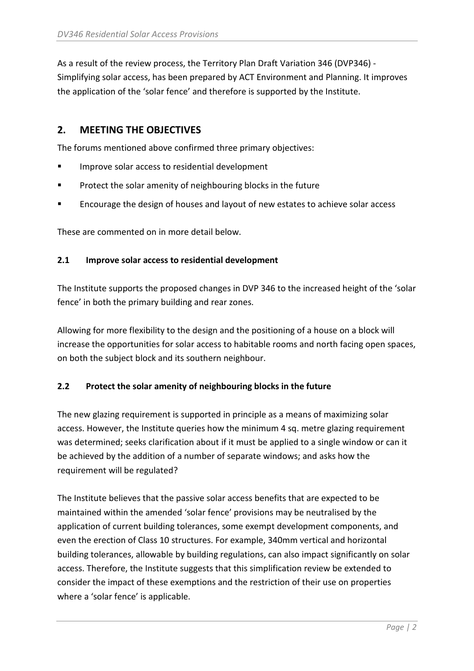As a result of the review process, the Territory Plan Draft Variation 346 (DVP346) - Simplifying solar access, has been prepared by ACT Environment and Planning. It improves the application of the 'solar fence' and therefore is supported by the Institute.

## **2. MEETING THE OBJECTIVES**

The forums mentioned above confirmed three primary objectives:

- **IMPROVE SOLARY ACCESS TO residential development**
- Protect the solar amenity of neighbouring blocks in the future
- **EXECOURDER** Encourage the design of houses and layout of new estates to achieve solar access

These are commented on in more detail below.

### **2.1 Improve solar access to residential development**

The Institute supports the proposed changes in DVP 346 to the increased height of the 'solar fence' in both the primary building and rear zones.

Allowing for more flexibility to the design and the positioning of a house on a block will increase the opportunities for solar access to habitable rooms and north facing open spaces, on both the subject block and its southern neighbour.

## **2.2 Protect the solar amenity of neighbouring blocks in the future**

The new glazing requirement is supported in principle as a means of maximizing solar access. However, the Institute queries how the minimum 4 sq. metre glazing requirement was determined; seeks clarification about if it must be applied to a single window or can it be achieved by the addition of a number of separate windows; and asks how the requirement will be regulated?

The Institute believes that the passive solar access benefits that are expected to be maintained within the amended 'solar fence' provisions may be neutralised by the application of current building tolerances, some exempt development components, and even the erection of Class 10 structures. For example, 340mm vertical and horizontal building tolerances, allowable by building regulations, can also impact significantly on solar access. Therefore, the Institute suggests that this simplification review be extended to consider the impact of these exemptions and the restriction of their use on properties where a 'solar fence' is applicable.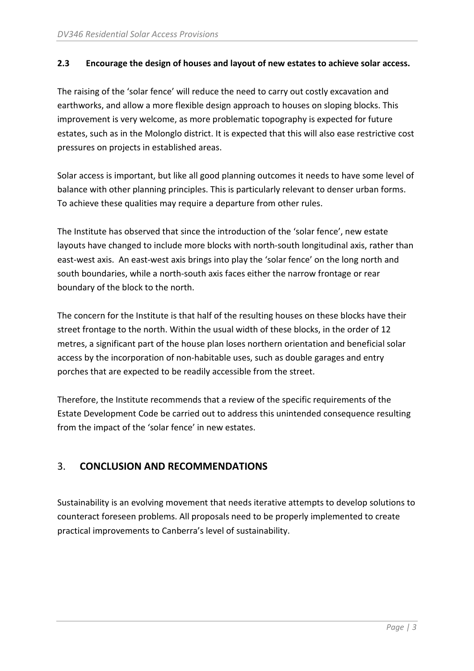### **2.3 Encourage the design of houses and layout of new estates to achieve solar access.**

The raising of the 'solar fence' will reduce the need to carry out costly excavation and earthworks, and allow a more flexible design approach to houses on sloping blocks. This improvement is very welcome, as more problematic topography is expected for future estates, such as in the Molonglo district. It is expected that this will also ease restrictive cost pressures on projects in established areas.

Solar access is important, but like all good planning outcomes it needs to have some level of balance with other planning principles. This is particularly relevant to denser urban forms. To achieve these qualities may require a departure from other rules.

The Institute has observed that since the introduction of the 'solar fence', new estate layouts have changed to include more blocks with north-south longitudinal axis, rather than east-west axis. An east-west axis brings into play the 'solar fence' on the long north and south boundaries, while a north-south axis faces either the narrow frontage or rear boundary of the block to the north.

The concern for the Institute is that half of the resulting houses on these blocks have their street frontage to the north. Within the usual width of these blocks, in the order of 12 metres, a significant part of the house plan loses northern orientation and beneficial solar access by the incorporation of non-habitable uses, such as double garages and entry porches that are expected to be readily accessible from the street.

Therefore, the Institute recommends that a review of the specific requirements of the Estate Development Code be carried out to address this unintended consequence resulting from the impact of the 'solar fence' in new estates.

# 3. **CONCLUSION AND RECOMMENDATIONS**

Sustainability is an evolving movement that needs iterative attempts to develop solutions to counteract foreseen problems. All proposals need to be properly implemented to create practical improvements to Canberra's level of sustainability.